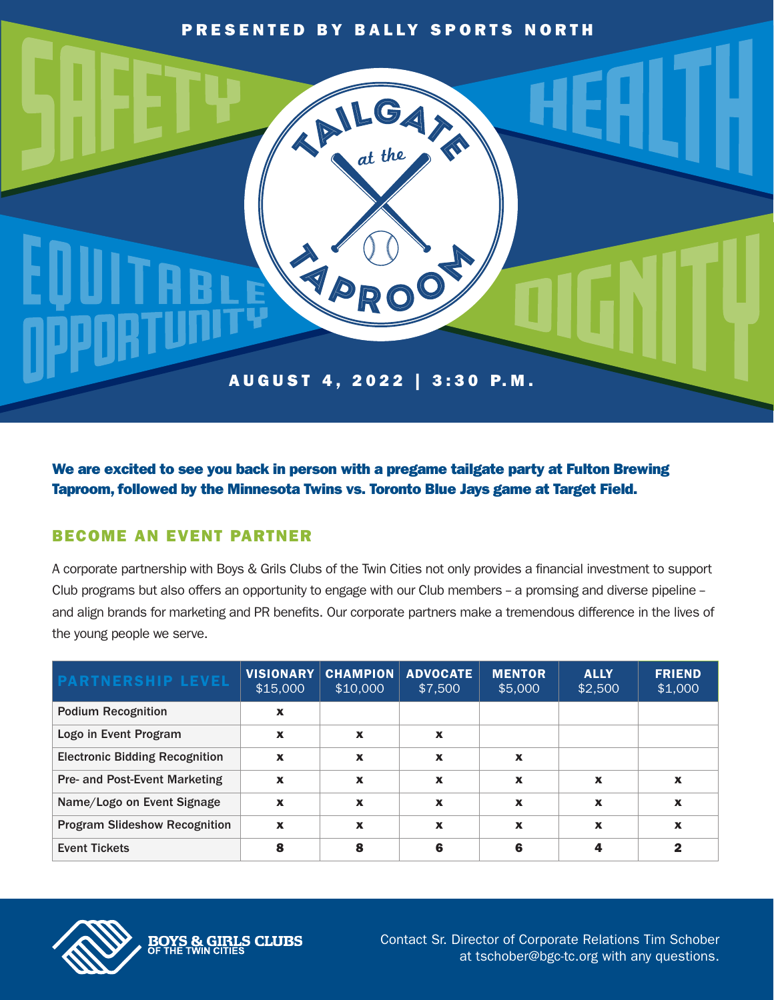## PRESENTED BY BALLY SPORTS NORTH

ALGA?

EPRO

A U G U S T 4 , 2 0 2 2 | 3 : 3 0 P. M .

We are excited to see you back in person with a pregame tailgate party at Fulton Brewing Taproom, followed by the Minnesota Twins vs. Toronto Blue Jays game at Target Field.

## BECOME AN EVENT PARTNER

**BOYS & GIRLS CLUBS** 

A corporate partnership with Boys & Grils Clubs of the Twin Cities not only provides a financial investment to support Club programs but also offers an opportunity to engage with our Club members - a promsing and diverse pipeline and align brands for marketing and PR benefits. Our corporate partners make a tremendous difference in the lives of the young people we serve.

| <b>PARTNERSHIP LEVEL</b>              | <b>VISIONARY</b><br>\$15,000 | <b>CHAMPION</b><br>\$10,000 | <b>ADVOCATE</b><br>\$7,500 | <b>MENTOR</b><br>\$5,000  | <b>ALLY</b><br>\$2,500 | <b>FRIEND</b><br>\$1,000  |
|---------------------------------------|------------------------------|-----------------------------|----------------------------|---------------------------|------------------------|---------------------------|
| <b>Podium Recognition</b>             | $\mathbf x$                  |                             |                            |                           |                        |                           |
| Logo in Event Program                 | X                            | X                           | X                          |                           |                        |                           |
| <b>Electronic Bidding Recognition</b> | $\boldsymbol{x}$             | $\boldsymbol{\mathsf{x}}$   | X                          | X                         |                        |                           |
| <b>Pre- and Post-Event Marketing</b>  | $\boldsymbol{x}$             | $\boldsymbol{\mathsf{x}}$   | $\mathbf x$                | $\boldsymbol{\mathsf{x}}$ | x                      | $\boldsymbol{\mathsf{x}}$ |
| Name/Logo on Event Signage            | $\boldsymbol{x}$             | $\boldsymbol{\mathsf{x}}$   | $\boldsymbol{\mathsf{x}}$  | $\boldsymbol{\mathsf{x}}$ | X                      | $\boldsymbol{\mathsf{x}}$ |
| <b>Program Slideshow Recognition</b>  | $\boldsymbol{\mathsf{x}}$    | X                           | $\boldsymbol{\mathsf{x}}$  | X                         | x                      | X                         |
| <b>Event Tickets</b>                  | 8                            | 8                           | 6                          | 6                         |                        | 2                         |



Contact Sr. Director of Corporate Relations Tim Schober at tschober@bgc-tc.org with any questions.